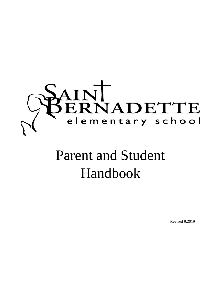

# Parent and Student Handbook

Revised 9.2019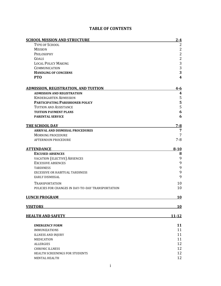| <b>SCHOOL MISSION AND STRUCTURE</b>               | $2 - 4$                 |
|---------------------------------------------------|-------------------------|
| <b>TYPE OF SCHOOL</b>                             | 2                       |
| <b>MISSION</b>                                    | $\overline{c}$          |
| PHILOSOPHY                                        | $\overline{c}$          |
| GOALS                                             | $\overline{2}$          |
| <b>LOCAL POLICY MAKING</b>                        | 3                       |
| COMMUNICATION                                     | $\sqrt{3}$              |
| <b>HANDLING OF CONCERNS</b>                       | 3                       |
| <b>PTO</b>                                        | $\overline{\mathbf{4}}$ |
| <b>ADMISSION, REGISTRATION, AND TUITION</b>       | $4 - 6$                 |
| <b>ADMISSION AND REGISTRATION</b>                 | 4                       |
| <b>KINDERGARTEN ADMISSION</b>                     | 5                       |
| <b>PARTICIPATING PARISHIONER POLICY</b>           | 5                       |
| TUITION AND ASSISTANCE                            | $\mathsf S$             |
| <b>TUITION PAYMENT PLANS</b>                      | 6                       |
| <b>PARENTAL SERVICE</b>                           | 6                       |
| THE SCHOOL DAY                                    | <u>7-8</u>              |
| ARRIVAL AND DISMISSAL PROCEDURES                  | 7                       |
| <b>MORNING PROCEDURE</b>                          | 7                       |
| AFTERNOON PROCEDURE                               | $7 - 8$                 |
| <b>ATTENDANCE</b>                                 | $8 - 10$                |
| <b>EXCUSED ABSENCES</b>                           | 8                       |
| <b>VACATION (ELECTIVE) ABSENCES</b>               | $\boldsymbol{9}$        |
| <b>EXCESSIVE ABSENCES</b>                         | 9                       |
| <b>TARDINESS</b>                                  | 9                       |
| EXCESSIVE OR HABITUAL TARDINESS                   | 9                       |
| EARLY DISMISSAL                                   | 9                       |
| <b>TRANSPORTATION</b>                             | 10                      |
| POLICIES FOR CHANGES IN DAY-TO-DAY TRANSPORTATION | 10                      |
| <b>LUNCH PROGRAM</b>                              | <u>10</u>               |
| <b>VISITORS</b>                                   | <b>10</b>               |
| <b>HEALTH AND SAFETY</b>                          | <u> 11-12</u>           |
|                                                   |                         |
| <b>EMERGENCY FORM</b>                             | 11                      |
| <b>IMMUNIZATIONS</b>                              | 11                      |
| <b>ILLNESS AND INJURY</b>                         | 11                      |
| MEDICATION                                        | 11                      |
| <b>ALLERGIES</b>                                  | 12                      |
| <b>CHRONIC ILLNESS</b>                            | 12                      |
| HEALTH SCREENINGS FOR STUDENTS                    | 12                      |
| <b>MENTAL HEALTH</b>                              | 12                      |

# **TABLE OF CONTENTS**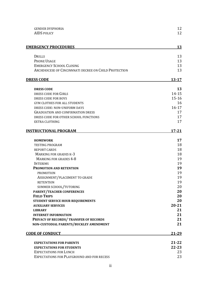| <b>GENDER DYSPHORIA</b>                               | 12        |
|-------------------------------------------------------|-----------|
| <b>AIDS POLICY</b>                                    | 12        |
| <b>EMERGENCY PROCEDURES</b>                           | 13        |
| DRILLS                                                | 13        |
| <b>PHONE USAGE</b>                                    | 13        |
| <b>EMERGENCY SCHOOL CLOSING</b>                       | 13        |
| ARCHDIOCESE OF CINCINNNATI DECREE ON CHILD PROTECTION | 13        |
| <b>DRESS CODE</b>                                     | $13 - 17$ |
| <b>DRESS CODE</b>                                     | 13        |
| DRESS CODE FOR GIRLS                                  | $14 - 15$ |
| DRESS CODE FOR BOYS                                   | $15 - 16$ |
| <b>GYM CLOTHES FOR ALL STUDENTS</b>                   | 16        |
| DRESS CODE: NON-UNIFORM DAYS                          | $16-17$   |
| <b>GRADUATION AND CONFIRMATION DRESS</b>              | 17        |
| DRESS CODE FOR OTHER SCHOOL FUNCTIONS                 | 17        |
| <b>EXTRA CLOTHING</b>                                 | 17        |
| <b>INSTRUCTIONAL PROGRAM</b>                          | $17 - 21$ |
| <b>HOMEWORK</b>                                       | 17        |
| <b>TESTING PROGRAM</b>                                | 18        |
| <b>REPORT CARDS</b>                                   | 18        |
| <b>MARKING FOR GRADES K-3</b>                         | 18        |
| <b>MARKING FOR GRADES 4-8</b>                         | 19        |
| <b>INTERIMS</b>                                       | 19        |
| <b>PROMOTION AND RETENTION</b>                        | 19        |
| <b>PROMOTION</b>                                      | 19        |
| ASSIGNMENT/PLACEMENT TO GRADE                         | 19        |
| <b>RETENTION</b>                                      | 19        |
| SUMMER SCHOOL/TUTORING                                | 20        |
| <b>PARENT/TEACHER CONFERENCES</b>                     | 20        |
| <b>FIELD TRIPS</b>                                    | 20        |
| STUDENT SERVICE HOUR REQUIREMENTS                     | 20        |
| <b>AUXILIARY SERVICES</b>                             | $20 - 21$ |
| <b>LIBRARY</b>                                        | 21        |
| <b>INTERNET INFORMATION</b>                           | 21        |
| PRIVACY OF RECORDS/TRANSFER OF RECORDS                | 21        |
| NON-CUSTODIAL PARENTS/BUCKLEY AMENDMENT               | 21        |
| <b>CODE OF CONDUCT</b>                                | 21-29     |
| <b>EXPECTATIONS FOR PARENTS</b>                       | $21 - 22$ |
| <b>EXPECTATIONS FOR STUDENTS</b>                      | $22 - 23$ |
| <b>EXPECTATIONS FOR LUNCH</b>                         | 23        |
| EXPECTATIONS FOR PLAYGROUND AND FOR RECESS            | 23        |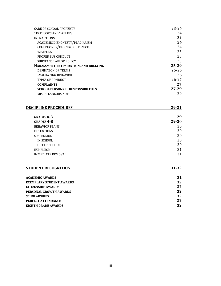| CARE OF SCHOOL PROPERTY                  | $23 - 24$ |
|------------------------------------------|-----------|
| TEXTBOOKS AND TABLETS                    | 24        |
| <b>INFRACTIONS</b>                       | 24        |
| ACADEMIC DISHONESTY/PLAGIARISM           | 24        |
| CELL PHONES/ELECTRONIC DEVICES           | 24        |
| <b>WEAPONS</b>                           | 25        |
| PROPER BUS CONDUCT                       | 25        |
| <b>SUBSTANCE ABUSE POLICY</b>            | 25        |
| HARASSMENT, INTIMIDATION, AND BULLYING   | 25-29     |
| DEFINITION OF TERMS                      | $25 - 26$ |
| EVALUATING BEHAVIOR                      | 26        |
| <b>TYPES OF CONDUCT</b>                  | $26 - 27$ |
| <b>COMPLAINTS</b>                        | 27        |
| <b>SCHOOL PERSONNEL RESPONSIBILITIES</b> | 27-29     |
| MISCELLANEOUS NOTE                       | 29        |

#### **DISCIPLINE PROCEDURES 29-31**

**GRADES K-3 29 GRADES 4-8 29-30** BEHAVIOR PLANS 30 DETENTIONS 30 SUSPENSION 30 IN SCHOOL 30 OUT OF SCHOOL 30 EXPULSION 31 IMMEDIATE REMOVAL 31

| <b>STUDENT RECOGNITION</b>      | $31 - 32$ |
|---------------------------------|-----------|
|                                 |           |
| <b>ACADEMIC AWARDS</b>          | 31        |
| <b>EXEMPLARY STUDENT AWARDS</b> | 32        |
| <b>CITIZENSHIP AWARDS</b>       | 32        |
| PERSONAL GROWTH AWARDS          | 32        |
| <b>SCHOLARSHIPS</b>             | 32        |
| PERFECT ATTENDANCE              | 32        |

**EIGHTH GRADE AWARDS 32**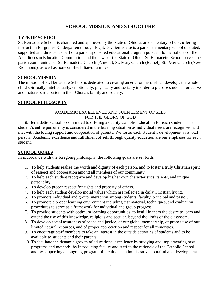# **SCHOOL MISSION AND STRUCTURE**

# **TYPE OF SCHOOL**

St. Bernadette School is chartered and approved by the State of Ohio as an elementary school, offering instruction for grades Kindergarten through Eight. St. Bernadette is a parish elementary school operated, supported and directed as part of a parish sponsored educational program pursuant to the policies of the Archdiocesan Education Commission and the laws of the State of Ohio. St. Bernadette School serves the parish communities of St. Bernadette Church (Amelia), St. Mary Church (Bethel), St. Peter Church (New Richmond), as well as non-parish-affiliated families.

#### **SCHOOL MISSION**

The mission of St. Bernadette School is dedicated to creating an environment which develops the whole child spiritually, intellectually, emotionally, physically and socially in order to prepare students for active and mature participation in their Church, family and society.

#### **SCHOOL PHILOSOPHY**

#### ACADEMIC EXCELLENCE AND FULFILLMENT OF SELF FOR THE GLORY OF GOD

 St. Bernadette School is committed to offering a quality Catholic Education for each student. The student's entire personality is considered in the learning situation as individual needs are recognized and met with the loving support and cooperation of parents. We foster each student's development as a total person. Academic excellence and fulfillment of self through quality education are our emphases for each student.

#### **SCHOOL GOALS**

In accordance with the foregoing philosophy, the following goals are set forth..

- 1. To help students realize the worth and dignity of each person, and to foster a truly Christian spirit of respect and cooperation among all members of our community.
- 2. To help each student recognize and develop his/her own characteristics, talents, and unique personality.
- 3. To develop proper respect for rights and property of others.
- 4. To help each student develop moral values which are reflected in daily Christian living.
- 5. To promote individual and group interaction among students, faculty, principal and pastor.
- 6. To promote a proper learning environment including test material, techniques, and evaluation procedures to serve as a framework for individual and group progress.
- 7. To provide students with optimum learning opportunities: to instill in them the desire to learn and extend the use of this knowledge, religious and secular, beyond the limits of the classroom.
- 8. To develop social awareness of peace and justice, of our global membership, of proper use of our limited natural resources, and of proper appreciation and respect for all minorities.
- 9. To encourage staff members to take an interest in the outside activities of students and to be available to students and their parents.
- 10. To facilitate the dynamic growth of educational excellence by studying and implementing new programs and methods, by introducing faculty and staff to the rationale of the Catholic School, and by supporting an ongoing program of faculty and administrative appraisal and development.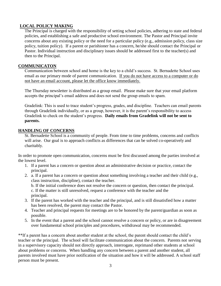# **LOCAL POLICY MAKING**

The Principal is charged with the responsibility of setting school policies, adhering to state and federal policies, and establishing a safe and productive school environment. The Pastor and Principal invite concerns about any existing policy or the need for a particular policy (e.g., admission policy, class size policy, tuition policy). If a parent or parishioner has a concern, he/she should contact the Principal or Pastor. Individual instruction and disciplinary issues should be addressed first to the teacher(s) and then to the Principal.

#### **COMMUNICATON**

 Communication between school and home is the key to a child's success. St. Bernadette School uses email as our primary mode of parent communication. If you do not have access to a computer or do not have an email account, please let the office know immediately.

The Thursday newsletter is distributed as a group email. Please make sure that your email platform accepts the principal's email address and does not send the group emails to spam.

Gradelink: This is used to trace student's progress, grades, and discipline. Teachers can email parents through Gradelink individually, or as a group, however, it is the parent's responsibility to access Gradelink to check on the student's progress. **Daily emails from Gradelink will not be sent to parents.**

#### **HANDLING OF CONCERNS**

St. Bernadette School is a community of people. From time to time problems, concerns and conflicts will arise. Our goal is to approach conflicts as differences that can be solved co-operatively and charitably.

In order to promote open communication, concerns must be first discussed among the parties involved at the lowest level.

- 1. If a parent has a concern or question about an administrative decision or practice, contact the principal.
- 2. a. If a parent has a concern or question about something involving a teacher and their child (e.g., class instruction, discipline), contact the teacher.

b. If the initial conference does not resolve the concern or question, then contact the principal. c. If the matter is still unresolved, request a conference with the teacher and the principal.

- 3. If the parent has worked with the teacher and the principal, and is still dissatisfied how a matter has been resolved, the parent may contact the Pastor.
- 4. Teacher and principal requests for meetings are to be honored by the parent/guardian as soon as possible.
- 5. In the event that a parent and the school cannot resolve a concern or policy, or are in disagreement over fundamental school principles and procedures, withdrawal may be recommended.

\*\*If a parent has a concern about another student at the school, the parent should contact the child's teacher or the principal. The school will facilitate communication about the concern. Parents not serving in a supervisory capacity should not directly approach, interrogate, reprimand other students at school about problems or concerns. When handling any concern between a parent and another student, all parents involved must have prior notification of the situation and how it will be addressed. A school staff person must be present.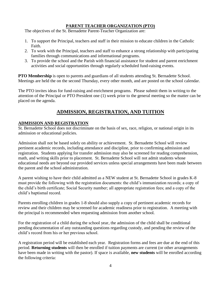# **PARENT TEACHER ORGANIZATION (PTO)**

The objectives of the St. Bernadette Parent-Teacher Organization are:

- 1. To support the Principal, teachers and staff in their mission to educate children in the Catholic Faith.
- 2. To work with the Principal, teachers and staff to enhance a strong relationship with participating families through communications and informational programs.
- 3. To provide the school and the Parish with financial assistance for student and parent enrichment activities and social opportunities through regularly scheduled fund-raising events.

**PTO Membership** is open to parents and guardians of all students attending St. Bernadette School. Meetings are held the on the second Thursday, every other month, and are posted on the school calendar.

The PTO invites ideas for fund-raising and enrichment programs. Please submit them in writing to the attention of the Principal or PTO President one (1) week prior to the general meeting so the matter can be placed on the agenda.

# **ADMISSION, REGISTRATION, AND TUITION**

#### **ADMISSION AND REGISTRATION**

St. Bernadette School does not discriminate on the basis of sex, race, religion, or national origin in its admission or educational policies.

Admission shall not be based solely on ability or achievement. St. Bernadette School will review pertinent academic records, including attendance and discipline, prior to confirming admission and registration. Students applying for transfer admission may also be screened for reading comprehension, math, and writing skills prior to placement. St. Bernadette School will not admit students whose educational needs are beyond our provided services unless special arrangements have been made between the parent and the school administration.

A parent wishing to have their child admitted as a NEW student at St. Bernadette School in grades K-8 must provide the following with the registration documents: the child's immunization records; a copy of the child's birth certificate; Social Security number; all appropriate registration fees; and a copy of the child's baptismal record.

Parents enrolling children in grades 1-8 should also supply a copy of pertinent academic records for review and their children may be screened for academic readiness prior to registration. A meeting with the principal is recommended when requesting admission from another school.

For the registration of a child during the school year, the admission of the child shall be conditional pending documentation of any outstanding questions regarding custody, and pending the review of the child's record from his or her previous school.

A registration period will be established each year. Registration forms and fees are due at the end of this period. **Returning students** will then be enrolled if tuition payments are current (or other arrangements have been made in writing with the pastor). If space is available, **new students** will be enrolled according the following criteria: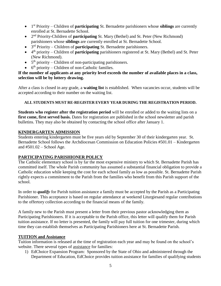- 1 st Priority Children of **participating** St. Bernadette parishioners whose **siblings** are currently enrolled at St. Bernadette School.
- 2<sup>nd</sup> Priority-Children of **participating** St. Mary (Bethel) and St. Peter (New Richmond) parishioners whose **siblings** are currently enrolled at St. Bernadette School.
- 3 rd Priority Children of **participating** St. Bernadette parishioners.
- 4 th priority Children of **participating** parishioners registered at St. Mary (Bethel) and St. Peter (New Richmond).
- $\bullet$  5<sup>th</sup> priority Children of non-participating parishioners.
- $\bullet$  6<sup>th</sup> priority Children of non-Catholic families.

#### **If the number of applicants at any priority level exceeds the number of available places in a class, selection will be by lottery drawing.**

After a class is closed in any grade, a **waiting list** is established. When vacancies occur, students will be accepted according to their number on the waiting list.

# **ALL STUDENTS MUST RE-REGISTER EVERY YEAR DURING THE REGISTRATION PERIOD.**

**Students who register after the registration period** will be enrolled or added to the waiting lists on a first come, first served basis. Dates for registration are published in the school newsletter and parish bulletins. They may also be obtained by contacting the school office after January 1.

# **KINDERGARTEN ADMISSION**

Students entering kindergarten must be five years old by September 30 of their kindergarten year. St. Bernadette School follows the Archdiocesan Commission on Education Policies #501.01 – Kindergarten and #501.02 – School Age.

# **PARTICIPATING PARISHIONER POLICY**

The Catholic elementary school is by far the most expensive ministry to which St. Bernadette Parish has committed itself. The whole Parish community has assumed a substantial financial obligation to provide a Catholic education while keeping the cost for each school family as low as possible. St. Bernadette Parish rightly expects a commitment to the Parish from the families who benefit from this Parish support of the school.

In order to *qualify* for Parish tuition assistance a family must be accepted by the Parish as a Participating Parishioner. This acceptance is based on regular attendance at weekend Liturgiesand regular contributions to the offertory collection according to the financial means of the family.

A family new to the Parish must present a letter from their previous pastor acknowledging them as Participating Parishioners. If it is acceptable to the Parish office, this letter will qualify them for Parish tuition assistance. If no letter is presented, the family will pay full tuition for one trimester, during which time they can establish themselves as Participating Parishioners here at St. Bernadette Parish.

# **TUITION and Assistance**

Tuition information is released at the time of registration each year and may be found on the school's website. There several types of assistance for families:

1) EdChoice Expansion Program: Sponsored by the State of Ohio and administered through the Department of Education, EdChoice provides tuition assistance for families of qualifying students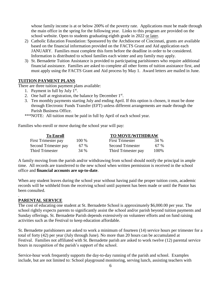whose family income is at or below 200% of the poverty rate. Applications must be made through the main office in the spring for the following year. Links to this program are provided on the school website. Open to students graduating eighth grade in 2022 or later.

- 2) Catholic Education Foundation: Sponsored by the Archdiocese of Cincinnati, grants are available based on the financial information provided on the FACTS Grant and Aid application each JANUARY. Families must complete this form before the deadline in order to be considered. Information is distributed to school families each winter and any family may apply.
- 3) St. Bernadette Tuition Assistance is provided to participating parishioners who require additional financial assistance. Families are asked to complete all other forms of tuition assistance first, and must apply using the FACTS Grant and Aid process by May 1. Award letters are mailed in June.

# **TUITION PAYMENT PLANS**

There are three tuition payment plans available:

- 1. Payment in full by July  $1<sup>st</sup>$ .
- 2. One half at registration, the balance by December  $1<sup>st</sup>$ .
- 3. Ten monthly payments starting July and ending April. If this option is chosen, it must be done through Electronic Funds Transfer (EFT) unless different arrangements are made through the Parish Business Office.
- \*\*\*NOTE: All tuition must be paid in full by April of each school year.

Families who enroll or move during the school year will pay:

| <b>To Enroll</b>     |       | <b>TO MOVE/WITHDRAW</b> |      |
|----------------------|-------|-------------------------|------|
| First Trimester pay  | 100 % | <b>First Trimester</b>  | 34 % |
| Second Trimester pay | 67 %  | <b>Second Trimester</b> | 67 % |
| Third Trimester      | 34 %  | Third Trimester pay     | 100% |

A family moving from the parish and/or withdrawing from school should notify the principal in ample time. All records are transferred to the new school when written permission is received in the school office and **financial accounts are up-to-date**.

When any student leaves during the school year without having paid the proper tuition costs, academic records will be withheld from the receiving school until payment has been made or until the Pastor has been consulted.

#### . **PARENTAL SERVICE**

The cost of educating one student at St. Bernadette School is approximately \$6,000.00 per year. The school rightly expects parents to significantly assist the school and/or parish beyond tuition payments and Sunday offerings. St. Bernadette Parish depends extensively on volunteer efforts and on fund raising activities such as the Festival to keep education affordable.

St. Bernadette parishioners are asked to work a minimum of fourteen (14) service hours per trimester for a total of forty (42) per year (July through June). No more than 20 hours can be accumulated at Festival. Families not affiliated with St. Bernadette parish are asked to work twelve (12) parental service hours in recognition of the parish's support of the school.

Service-hour work frequently supports the day-to-day running of the parish and school. Examples include, but are not limited to: School playground monitoring, serving lunch, assisting teachers with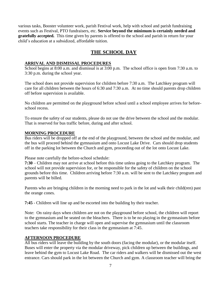various tasks, Booster volunteer work, parish Festival work, help with school and parish fundraising events such as Festival, PTO fundraisers, etc. **Service beyond the minimum is certainly needed and gratefully accepted.** This time given by parents is offered to the school and parish in return for your child's education at a subsidized, affordable tuition.

# **THE SCHOOL DAY**

# **ARRIVAL AND DISMISSAL PROCEDURES**

School begins at 8:00 a.m. and dismissal is at 3:00 p.m. The school office is open from 7:30 a.m. to 3:30 p.m. during the school year.

The school does not provide supervision for children before 7:30 a.m. The Latchkey program will care for all children between the hours of 6:30 and 7:30 a.m. At no time should parents drop children off before supervision is available.

No children are permitted on the playground before school until a school employee arrives for beforeschool recess.

To ensure the safety of our students, please do not use the drive between the school and the modular. That is reserved for bus traffic before, during and after school.

# **MORNING PROCEDURE**

Bus riders will be dropped off at the end of the playground, between the school and the modular, and the bus will proceed behind the gymnasium and onto Locust Lake Drive. Cars should drop students off in the parking lot between the Church and gym, proceeding out of the lot onto Locust Lake.

Please note carefully the before-school schedule:

**7:30** – Children may not arrive at school before this time unless going to the Latchkey program. The school will not provide supervision for, or be responsible for the safety of children on the school grounds before this time. Children arriving before 7:30 a.m. will be sent to the Latchkey program and parents will be billed.

Parents who are bringing children in the morning need to park in the lot and walk their child(ren) past the orange cones.

**7:45** - Children will line up and be escorted into the building by their teacher.

Note: On rainy days when children are not on the playground before school, the children will report to the gymnasium and be seated on the bleachers. There is to be no playing in the gymnasium before school starts. The teacher in charge will open and supervise the gymnasium until the classroom teachers take responsibility for their class in the gymnasium at 7:45.

# **AFTERNOON PROCEDURE**

All bus riders will leave the building by the south doors (facing the modular), or the modular itself. Buses will enter the property via the modular driveway, pick children up between the buildings, and leave behind the gym to Locust Lake Road. The car riders and walkers will be dismissed out the west entrance. Cars should park in the lot between the Church and gym. A classroom teacher will bring the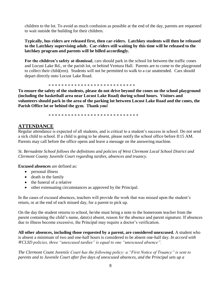children to the lot. To avoid as much confusion as possible at the end of the day, parents are requested to wait outside the building for their children.

#### **Typically, bus riders are released first, then car-riders. Latchkey students will then be released to the Latchkey supervising adult. Car-riders still waiting by this time will be released to the latchkey program and parents will be billed accordingly.**

**For the children's safety at dismissal**, cars should park in the school lot between the traffic cones and Locust Lake Rd., or the parish lot, or behind Ventura Hall. Parents are to come to the playground to collect their child(ren). Students will not be permitted to walk to a car unattended. Cars should depart directly onto Locust Lake Road.

\* \* \* \* \* \* \* \* \* \* \* \* \* \* \* \* \* \* \* \* \* \* \* \* \* \* \*

**To ensure the safety of the students, please do not drive beyond the cones on the school playground (including the basketball area near Locust Lake Road) during school hours. Visitors and volunteers should park in the area of the parking lot between Locust Lake Road and the cones, the Parish Office lot or behind the gym. Thank you!**

\* \* \* \* \* \* \* \* \* \* \* \* \* \* \* \* \* \* \* \* \* \* \* \* \* \* \* \*

# **ATTENDANCE**

Regular attendance is expected of all students, and is critical to a student's success in school. Do not send a sick child to school. If a child is going to be absent, please notify the school office before 8:15 AM. Parents may call before the office opens and leave a message on the answering machine.

*St. Bernadette School follows the definitions and policies of West Clermont Local School District and Clermont County Juvenile Court regarding tardies, absences and truancy.*

**Excused absences** are defined as:

- personal illness
- death in the family
- the funeral of a relative
- other extenuating circumstances as approved by the Principal.

In the cases of excused absences, teachers will provide the work that was missed upon the student's return, or at the end of each missed day, for a parent to pick up.

On the day the student returns to school, he/she must bring a note to the homeroom teacher from the parent containing the child's name, date(s) absent, reason for the absence and parent signature. If absences due to illness become excessive, the Principal may require a doctor's verification.

**All other absences, including those requested by a parent, are considered unexcused.** A student who is absent a minimum of two and one-half hours is considered to be absent one-half day. *In accord with WCLSD policies, three "unexcused tardies" is equal to one "unexcused absence".* 

*The Clermont Count Juvenile Court has the following policy: a "First Notice of Truancy" is sent to parents and to Juvenile Court after five days of unexcused absences, and the Principal sets up a*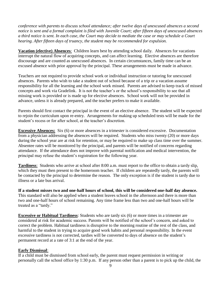*conference with parents to discuss school attendance; after twelve days of unexcused absences a second notice is sent and a formal complaint is filed with Juvenile Court; after fifteen days of unexcused absences a third notice is sent. In each case, the Court may decide to mediate the case or may schedule a Court hearing. After fifteen days of truancy, the student may be recommended for expulsion.*

**Vacation (elective) Absences**: Children learn best by attending school daily. Absences for vacations interrupt the natural flow of acquiring concepts, and can affect learning. Elective absences are therefore discourage and are counted as unexcused absences. In certain circumstances, family time can be an excused absence with prior approval by the principal. These arrangements must be made in advance.

Teachers are not required to provide school work or individual instruction or tutoring for unexcused absences. Parents who wish to take a student out of school because of a trip or a vacation assume responsibility for all the learning and the school work missed. Parents are advised to keep track of missed concepts and work via Gradelink. It is not the teacher's or the school's responsibility to see that all missing work is provided or is made up for elective absences. School work will not be provided in advance, unless it is already prepared, and the teacher prefers to make it available.

Parents should first contact the principal in the event of an elective absence. The student will be expected to rejoin the curriculum upon re-entry. Arrangements for making up scheduled tests will be made for the student's recess or for after school, at the teacher's discretion.

**Excessive Absences:** Six (6) or more absences in a trimester is considered excessive. Documentation from a physician addressing the absences will be required. Students who miss twenty (20) or more days during the school year are at risk for retention, or may be required to make up class time over the summer. Absentee rates will be monitored by the principal, and parents will be notified of concerns regarding attendance. If the attendance does not improve with parental notification and medical intervention, the principal may refuse the student's registration for the following year.

**Tardiness**: Students who arrive at school after 8:00 a.m. must report to the office to obtain a tardy slip, which they must then present to the homeroom teacher. If children are repeatedly tardy, the parents will be contacted by the principal to determine the reason. The only exception is if the student is tardy due to illness or a late bus arrival.

**If a student misses two and one-half hours of school, this will be considered one-half day absence.**  This standard will also be applied when a student leaves school in the afternoon and there is more than two and one-half hours of school remaining. Any time frame less than two and one-half hours will be treated as a "tardy."

**Excessive or Habitual Tardiness**: Students who are tardy six (6) or more times in a trimester are considered at risk for academic success. Parents will be notified of the school's concern, and asked to correct the problem. Habitual tardiness is disruptive to the morning routine of the rest of the class, and harmful to the student in trying to acquire good work habits and personal responsibility. In the event excessive tardiness is not corrected, tardies will be converted to days of absence on the student's permanent record at a rate of 3:1 at the end of the year.

#### **Early Dismissal**:

If a child must be dismissed from school early, the parent must request permission in writing or personally call the school office by 1:30 p.m. If any person other than a parent is to pick up the child, the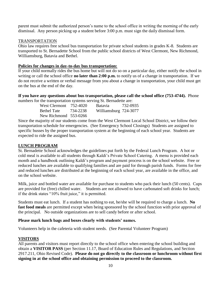parent must submit the authorized person's name to the school office in writing the morning of the early dismissal. Any person picking up a student before 3:00 p.m. must sign the daily dismissal form.

#### TRANSPORTATION

Ohio law requires free school bus transportation for private school students in grades K-8. Students are transported to St. Bernadette School from the public school districts of West Clermont, New Richmond, Williamsburg, Batavia and Bethel.

#### **Policies for changes in day-to-day bus transportation:**

If your child normally rides the bus home but will not do so on a particular day, either notify the school in writing or call the school office **no later than 2:00 p.m.** to notify us of a change in transportation. If we do not receive a written or verbal message from you about a change in transportation, your child must get on the bus at the end of the day.

**If you have any questions about bus transportation, please call the school office (753-4744).** Phone numbers for the transportation systems serving St. Bernadette are:

| West Clermont $752-4020$ |          | <b>Batavia</b>        | 732-0935 |
|--------------------------|----------|-----------------------|----------|
| <b>Bethel Tate</b>       | 734-2238 | Williamsburg 724-3077 |          |
| New Richmond 553-0266    |          |                       |          |

Since the majority of our students come from the West Clermont Local School District, we follow their transportation schedule for emergencies. (See Emergency School Closings) Students are assigned to specific busses by the proper transportation system at the beginning of each school year. Students are expected to ride the assigned bus.

#### **LUNCH PROGRAM**

St. Bernadette School acknowledges the guidelines put forth by the Federal Lunch Program. A hot or cold meal is available to all students through Kaldi's Private School Catering. A menu is provided each month and a handbook outlining Kaldi's program and payment process is on the school website. Free or reduced lunches are available to qualifying families and are paid for through parish funds. Forms for free and reduced lunches are distributed at the beginning of each school year, are available in the office, and on the school website.

Milk, juice and bottled water are available for purchase to students who pack their lunch (50 cents). Cups are provided for (free) chilled water. Students are not allowed to have carbonated soft drinks for lunch; if the drink states "10% fruit juice," it is permitted.

Students must eat lunch. If a student has nothing to eat, he/she will be required to charge a lunch. **No fast food meals** are permitted except when being sponsored by the school function with prior approval of the principal. No outside organizations are to sell candy before or after school.

#### **Please mark lunch bags and boxes clearly with students' names.**

Volunteers help in the cafeteria with student needs. (See Parental Volunteer Program)

#### **VISITORS**

All parents and visitors must report directly to the school office when entering the school building and obtain a **VISITOR PASS** (per Section 11.17, Board of Education Rules and Regulations, and Section 2917.211, Ohio Revised Code). **Please do not go directly to the classroom or lunchroom without first signing in at the school office and obtaining permission to proceed to the classroom.**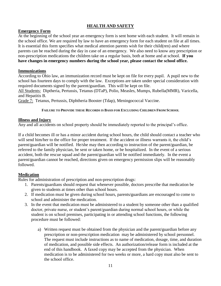# **HEALTH AND SAFETY**

#### **Emergency Form**

At the beginning of the school year an emergency form is sent home with each student. It will remain in the school office. We are required by law to have an emergency form for each student on file at all times. It is essential this form specifies what medical attention parents wish for their child(ren) and where parents can be reached during the day in case of an emergency. We also need to know any prescription or non-prescription medications the children take on a regular basis, both at home and at school. **If you have changes in emergency numbers during the school year, please contact the school office.** 

#### **Immunizations**

According to Ohio law, an immunization record must be kept on file for every pupil. A pupil new to the school has fourteen days to comply with the law. Exceptions are taken under special consideration with required documents signed by the parent/guardian. This will be kept on file.

All Students: Diptheria, Pertussis, Tetanus (DTaP), Polio, Measles, Mumps, Rubella(MMR), Varicella, and Hepatitis B.

Grade 7: Tetanus, Pertussis, Diphtheria Booster (Tdap), Meningococcal Vaccine.

#### **FAILURE TO PROVIDE THESE RECORDS IS BASIS FOR EXCLUDING CHILDREN FROM SCHOOL**

#### **Illness and Injury**

Any and all accidents on school property should be immediately reported to the principal's office.

If a child becomes ill or has a minor accident during school hours, the child should contact a teacher who will send him/her to the office for proper treatment. If the accident or illness warrants it, the child's parent/guardian will be notified. He/she may then according to instruction of the parent/guardian, be referred to the family physician, be sent or taken home, or be hospitalized. In the event of a serious accident, both the rescue squad and the parent/guardian will be notified immediately. In the event a parent/guardian cannot be reached, directions given on emergency permission slips will be reasonably followed.

#### **Medication**

Rules for administration of prescription and non-prescription drugs:

- 1. Parents/guardians should request that whenever possible, doctors prescribe that medication be given to students at times other than school hours.
- 2. If medication must be given during school hours, parents/guardians are encouraged to come to school and administer the medication.
- 3. In the event that medication must be administered to a student by someone other than a qualified doctor, private nurse, or student's parent/guardian during normal school hours, or while the student is on school premises, participating in or attending school functions, the following procedure must be followed:
	- a) Written request must be obtained from the physician and the parent/guardian before any prescription or non-prescription medication may be administered by school personnel. The request must include instructions as to name of medication, dosage, time, and duration of medication, and possible side effects. An authorization/release form is included at the end of this handbook. A faxed copy may be accepted from the physician. When medication is to be administered for two weeks or more, a hard copy must also be sent to the school office.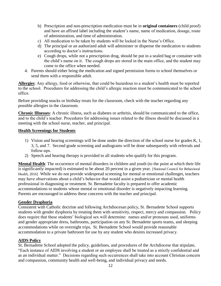- b) Prescription and non-prescription medication must be in **original containers** (child proof) and have an affixed label including the student's name, name of medication, dosage, route of administration, and time of administration.
- c) All medication to be taken by students will be locked in the Nurse's Office.
- d) The principal or an authorized adult will administer or dispense the medication to students according to doctor's instructions.
- e) Cough drops, while not a prescription drug, should be put in a sealed bag or container with the child's name on it. The cough drops are stored in the main office, and the student may come to the office when needed.
- 4. Parents should either bring the medication and signed permission forms to school themselves or send them with a responsible adult.

**Allergies**: Any allergy, food or otherwise, that could be hazardous to a student's health must be reported to the school. Procedures for addressing the child's allergic reaction must be communicated to the school office.

Before providing snacks or birthday treats for the classroom, check with the teacher regarding any possible allergies in the classroom.

**Chronic Illnesses**: A chronic illness, such as diabetes or arthritis, should be communicated to the office, and to the child's teacher. Procedures for addressing issues related to the illness should be discussed in a meeting with the school nurse, teacher, and principal.

#### **Health Screenings for Students**

- 1) Vision and hearing screenings will be done under the direction of the school nurse for grades K, 1, 3, 5, and 7. Second grade screening and audiograms will be done subsequently with referrals and follow-ups.
- 2) Speech and hearing therapy is provided to all students who qualify for this program.

**Mental Health**: The occurrence of mental disorders in children and youth (to the point at which their life is significantly impacted) is estimated to be about 20 percent in a given year. [National Council for Behavioral Health, 2016] While we do not provide widespread screening for mental or emotional challenges, teachers may have observations about a child's behavior that would assist a pediatrician or mental health professional in diagnosing or treatment. St. Bernadette faculty is prepared to offer academic accommodations to students whose mental or emotional disorder is negatively impacting learning. Parents are encouraged to address these concerns with the teacher and principal.

#### **Gender Dysphoria**

Consistent with Catholic doctrine and following Archdiocesan policy, St. Bernadette School supports students with gender dysphoria by treating them with sensitivity, respect, mercy and compassion. Policy does require that these students' biological sex will determine: names and/or pronouns used, uniforms and gender appropriate dress, bathrooms, participation on any St. Bernadette sports teams, and sleeping accommodations while on overnight trips. St. Bernadette School would provide reasonable accommodation to a private bathroom for use by any student who desires increased privacy.

#### **AIDS Policy**

St. Bernadette School adopted the policy, guidelines, and procedures of the Archdiocese that stipulate, "Each instance of AIDS involving a student or an employee shall be treated as a strictly confidential and as an individual matter." Decisions regarding such occurrences shall take into account Christian concern and compassion, community health and well-being, and individual privacy and needs.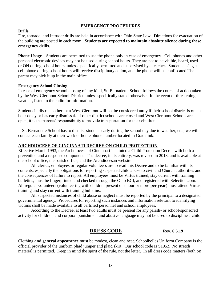# **EMERGENCY PROCEDURES**

#### **Drills**

Fire, tornado, and intruder drills are held in accordance with Ohio State Law. Directions for evacuation of the building are posted in each room. **Students are expected to maintain absolute silence during these emergency drills.**

**Phone Usage** – Students are permitted to use the phone only in case of emergency. Cell phones and other personal electronic devices may not be used during school hours. They are not to be visible, heard, used or ON during school hours, unless specifically permitted and supervised by a teacher. Students using a cell phone during school hours will receive disciplinary action, and the phone will be confiscated The parent may pick it up in the main office.

#### **Emergency School Closing**

In case of emergency school closing of any kind, St. Bernadette School follows the course of action taken by the West Clermont School District, unless specifically stated otherwise. In the event of threatening weather, listen to the radio for information.

Students in districts other than West Clermont will not be considered tardy if their school district is on an hour delay or has early dismissal. If other district schools are closed and West Clermont Schools are open, it is the parents' responsibility to provide transportation for their children.

If St. Bernadette School has to dismiss students early during the school day due to weather, etc., we will contact each family at their work or home phone number located in Gradelink.

#### **ARCHDIOCESE OF CINCINNATI DECREE ON CHILD PROTECTION**

Effective March 1993, the Archdiocese of Cincinnati instituted a Child Protection Decree with both a prevention and a response component. The decree, in its entirety, was revised in 2013, and is available at the school office, the parish office, and the Archdiocesan website.

All clerics, employees or regular volunteers are to read this Decree and to be familiar with its contents, especially the obligations for reporting suspected child abuse to civil and Church authorities and the consequences of failure to report. All employees must be Virtus trained, stay current with training bulletins, must be fingerprinted and checked through the Ohio BCI, and registered with Selection.com. All regular volunteers (volunteering with children present one hour or more **per year**) must attend Virtus training and stay current with training bulletins.

All suspected instances of child abuse or neglect must be reported by the principal to a designated governmental agency. Procedures for reporting such instances and information relevant to identifying victims shall be made available to all certified personnel and school employees.

According to the Decree, at least two adults must be present for any parish- or school-sponsored activity for children, and corporal punishment and abusive language may not be used to discipline a child.

# **DRESS CODE** Rev. 6.5.19

Clothing **and general appearance** must be modest, clean and neat. Schoolbelles Uniform Company is the official provider of the uniform plaid jumper and plaid skirt. Our school code is S1952. No stretch material is permitted. Keep in mind the spirit of the rule, not the letter. In all dress code matters (both on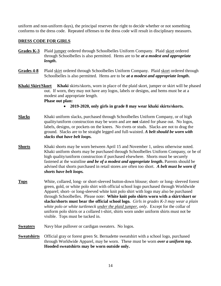uniform and non-uniform days), the principal reserves the right to decide whether or not something conforms to the dress code. Repeated offenses to the dress code will result in disciplinary measures.

### **DRESS CODE FOR GIRLS**

- **Grades K-3** Plaid jumper ordered through Schoolbelles Uniform Company. Plaid skort ordered through Schoolbelles is also permitted. Hems are to be *at a modest and appropriate length***.**
- **Grades 4-8** Plaid skirt ordered through Schoolbelles Uniform Company. Plaid skort ordered through Schoolbelles is also permitted. Hems are to be *at a modest and appropriate length***.**
- **Khaki Skirt/Skort Khaki** skirts/skorts, worn in place of the plaid skort, jumper or skirt will be phased out.If worn, they may not have any logos, labels or designs, and hems must be at a modest and appropriate length.

**Phase out plan:** 

- **2019-2020, only girls in grade 8 may wear khaki skirts/skorts.**
- **Slacks** Khaki uniform slacks, purchased through Schoolbelles Uniform Company, or of high quality/uniform construction may be worn and are **not** slated for phase out. No logos, labels, designs, or pockets on the knees. No rivets or studs. Slacks are not to drag the ground. Slacks are to be straight legged and full-waisted. *A belt should be worn with slacks that have belt loops.*
- **Shorts** Khaki shorts may be worn between April 15 and November 1, unless otherwise noted. Khaki uniform shorts may be purchased through Schoolbelles Uniform Company, or be of high quality/uniform construction if purchased elsewhere. Shorts must be securely fastened at the waistline *and be of a modest and appropriate length***.** Parents should be advised that shorts purchased in retail stores are often too short. *A belt must be worn if shorts have belt loops.*
- **Tops** White, collared, long- or short-sleeved button-down blouse; short- or long- sleeved forest green, gold, or white polo shirt with official school logo purchased through Worldwide Apparel; short- or long-sleeved white knit polo shirt with logo may also be purchased through Schoolbelles. Please note: **White knit polo shirts worn with a skirt/skort or slacks/shorts must bear the official school logo.** *Girls in grades K-3 may wear a plain white polo or white turtleneck under the plaid jumper, only*. Except for the collar of uniform polo shirts or a collared t-shirt, shirts worn under uniform shirts must not be visible. Tops must be tucked in.
- **Sweaters** Navy blue pullover or cardigan sweaters. No logos.
- **Sweatshirts** Official gray or forest green St. Bernadette sweatshirt with a school logo, purchased through Worldwide Apparel, may be worn. These must be worn *over a uniform top***. Hooded sweatshirts may be worn outside only.**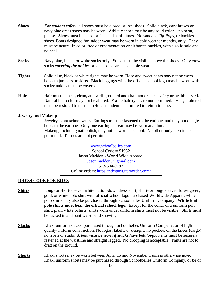| <b>Shoes</b>  | <b>For student safety</b> , all shoes must be closed, sturdy shoes. Solid black, dark brown or<br>navy blue dress shoes may be worn. At hetic shoes may be any solid color – no neon,<br>please. Shoes must be laced or fastened at all times. No sandals, <i>flip-flops</i> , or backless<br>shoes. Boots designed for indoor wear may be worn in cold weather months, only. They<br>must be neutral in color, free of ornamentation or elaborate buckles, with a solid sole and<br>no heel. |
|---------------|-----------------------------------------------------------------------------------------------------------------------------------------------------------------------------------------------------------------------------------------------------------------------------------------------------------------------------------------------------------------------------------------------------------------------------------------------------------------------------------------------|
| <b>Socks</b>  | Navy blue, black, or white socks only. Socks must be visible above the shoes. Only crew<br>socks <i>covering the ankles</i> or knee socks are acceptable wear.                                                                                                                                                                                                                                                                                                                                |
| <b>Tights</b> | Solid blue, black or white tights may be worn. Hose and sweat pants may not be worn<br>beneath jumpers or skirts. Black leggings with the official school logo may be worn with<br>socks: ankles must be covered.                                                                                                                                                                                                                                                                             |
| <b>Hair</b>   | Hair must be neat, clean, and well-groomed and shall not create a safety or health hazard.<br>Natural hair color may not be altered. Exotic hairstyles are not permitted. Hair, if altered,<br>must be restored to normal before a student is permitted to return to class.                                                                                                                                                                                                                   |

#### **Jewelry and Makeup**

Jewelry is not school wear. Earrings must be fastened to the earlobe, and may not dangle beneath the earlobe. Only one earring per ear may be worn at a time. Makeup, including nail polish, may not be worn at school. No other body piercing is permitted. Tattoos are not permitted.

> [www.schoolbelles.com](http://www.schoolbelles.com/) School Code =  $S1952$ Jason Madden - World Wide Apparel [Jasonmadden5@gmail.com](file:///G:/My%20Drive/--%20From%20Laptop%20Documents%20--/Policies/Jasonmadden5@gmail.com) 513-604-9787 Online orders: <https://stbspirit.itemorder.com/>

#### **DRESS CODE FOR BOYS**

- **Shirts** Long- or short-sleeved white button-down dress shirt; short- or long- sleeved forest green, gold, or white polo shirt with official school logo purchased Worldwide Apparel; white polo shirts may also be purchased through Schoolbelles Uniform Company. **White knit polo shirts must bear the official school logo.** Except for the collar of a uniform polo shirt, plain white t-shirts, shirts worn under uniform shirts must not be visible. Shirts must be tucked in and pant waist band showing.
- **Slacks** Khaki uniform slacks, purchased through Schoolbelles Uniform Company, or of high quality/uniform construction. No logos, labels, *or* designs; no pockets on the knees (cargo); no rivets or studs. *A belt must be worn if slacks have belt loops.* Pants must be securely fastened at the waistline and straight legged. No drooping is acceptable. Pants are not to drag on the ground.
- **Shorts** Khaki shorts may be worn between April 15 and November 1 unless otherwise noted. Khaki uniform shorts may be purchased through Schoolbelles Uniform Company, or be of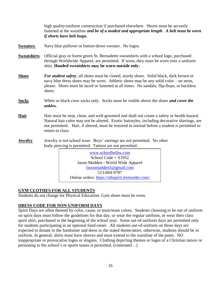high quality/uniform construction if purchased elsewhere. Shorts must be securely fastened at the waistline *and be of a modest and appropriate length*. *A belt must be worn if shorts have belt loops.* **Sweaters** Navy blue pullover or button-down sweater. No logos. **Sweatshirts** Official gray or forest green St. Bernadette sweatshirts with a school logo, purchased through Worldwide Apparel, are permitted. If worn, they must be worn over a uniform shirt. **Hooded sweatshirts may be worn outside only. Shoes** *For student safety*, all shoes must be closed, sturdy shoes. Solid black, dark brown or navy blue dress shoes may be worn. Athletic shoes may be any solid color – no neon, please. Shoes must be laced or fastened at all times. No sandals, flip-flops*,* or backless shoes. **Socks** White or black crew socks only. Socks must be visible above the shoes *and cover the ankles.* **Hair** Hair must be neat, clean, and well-groomed and shall not create a safety or health hazard. Natural hair color may not be altered. Exotic hairstyles, including decorative shavings, are not permitted. Hair, if altered, must be restored to normal before a student is permitted to return to class. **Jewelry** Jewelry is not school wear. Boys' earrings are not permitted. No other body piercing is permitted. Tattoos are not permitted.  $School Code = S1952$ Jason Madden - World Wide Apparel [Jasonmadden5@gmail.com](file:///G:/My%20Drive/--%20From%20Laptop%20Documents%20--/Policies/Jasonmadden5@gmail.com) 604-8337 513-604-9787 Online orders: <https://stbspirit.itemorder.com/> [www.schoolbelles.com](http://www.schoolbelles.com/)

#### **GYM CLOTHES FOR ALL STUDENTS**  $M_{\rm H}$

Students do not change for Physical Education. Gym shoes must be worn.

# **DRESS CODE FOR NON-UNIFORM DAYS**

 Spirit Days are often themed by color, cause, or team/team colors. Students choosing to be out of uniform on spirit days must follow the guidelines for that day, or wear the regular uniform, or wear their class spirit shirt, purchased in the beginning of the school year. Some out-of-uniform days are permitted only for students participating in an optional fund-raiser. All students out-of-uniform on those days are expected to donate to the fundraiser and dress in the stated theme/attire, otherwise, students should be in uniform. In general, shirts must have sleeves and must extend to the waistline of the pants. NO inappropriate or provocative logos or slogans. Clothing depicting themes or logos of a Christian nature or pertaining to the school's or sports teams is permitted. (continued…)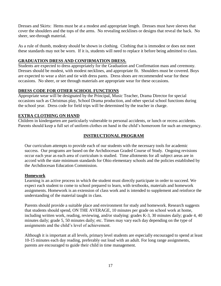Dresses and Skirts: Hems must be at a modest and appropriate length. Dresses must have sleeves that cover the shoulders and the tops of the arms. No revealing necklines or designs that reveal the back. No sheer, see-through material.

As a rule of thumb, modesty should be shown in clothing. Clothing that is immodest or does not meet these standards may not be worn. If it is, students will need to replace it before being admitted to class.

# **GRADUATION DRESS AND CONFIRMATION DRESS.**

Students are expected to dress appropriately for the Graduation and Confirmation mass and ceremony. Dresses should be modest, with modest necklines, and appropriate fit. Shoulders must be covered. Boys are expected to wear a shirt and tie with dress pants. Dress shoes are recommended wear for these occasions. No sheer, or see through materials are appropriate wear for these occasions.

# **DRESS CODE FOR OTHER SCHOOL FUNCTIONS**

Appropriate wear will be designated by the Principal, Music Teacher, Drama Director for special occasions such as Christmas play, School Drama production, and other special school functions during the school year. Dress code for field trips will be determined by the teacher in charge.

# **EXTRA CLOTHING ON HAND**

Children in kindergarten are particularly vulnerable to personal accidents, or lunch or recess accidents. Parents should keep a full set of uniform clothes on hand in the child's homeroom for such an emergency.

# **INSTRUCTIONAL PROGRAM**

Our curriculum attempts to provide each of our students with the necessary tools for academic success. Our programs are based on the Archdiocesan Graded Course of Study. Ongoing revisions occur each year as each area of curriculum is studied. Time allotments for all subject areas are in accord with the state minimum standards for Ohio elementary schools and the policies established by the Archdiocesan Education Commission.

#### **Homework**

Learning is an active process in which the student must directly participate in order to succeed. We expect each student to come to school prepared to learn, with textbooks, materials and homework assignments. Homework is an extension of class work and is intended to supplement and reinforce the understanding of the material taught in class.

Parents should provide a suitable place and environment for study and homework. Research suggests that students should spend, ON THE AVERAGE, 10 minutes per grade on school work at home, including written work, reading, reviewing, and/or studying: grades K-3, 30 minutes daily; grade 4, 40 minutes daily; grade 5, 50 minutes daily; etc. Times may vary each day depending on the type of assignments and the child's level of achievement.

Although it is important at all levels, primary level students are especially encouraged to spend at least 10-15 minutes each day reading, preferably out loud with an adult. For long range assignments, parents are encouraged to guide their child in time management.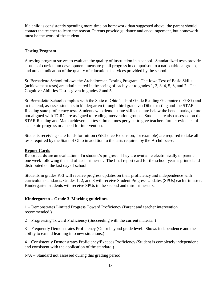If a child is consistently spending more time on homework than suggested above, the parent should contact the teacher to learn the reason. Parents provide guidance and encouragement, but homework must be the work of the student.

#### **Testing Program**

A testing program strives to evaluate the quality of instruction in a school. Standardized tests provide a basis of curriculum development, measure pupil progress in comparison to a national/local group, and are an indication of the quality of educational services provided by the school.

St. Bernadette School follows the Archdiocesan Testing Program. The Iowa Test of Basic Skills (achievement tests) are administered in the spring of each year to grades 1, 2, 3, 4, 5, 6, and 7. The Cognitive Abilities Test is given in grades 2 and 5.

St. Bernadette School complies with the State of Ohio's Third Grade Reading Guarantee (TGRG) and to that end, assesses students in kindergarten through third grade via Dibels testing and the STAR Reading state proficiency test. Students who demonstrate skills that are below the benchmarks, or are not aligned with TGRG are assigned to reading intervention groups. Students are also assessed on the STAR Reading and Math achievement tests three times per year to give teachers further evidence of academic progress or a need for intervention.

Students receiving state funds for tuition (EdChoice Expansion, for example) are required to take all tests required by the State of Ohio in addition to the tests required by the Archdiocese.

#### **Report Cards**

Report cards are an evaluation of a student's progress. They are available electronically to parents one week following the end of each trimester. The final report card for the school year is printed and distributed on the last day of school.

Students in grades K-3 will receive progress updates on their proficiency and independence with curriculum standards. Grades 1, 2, and 3 will receive Student Progress Updates (SPUs) each trimester. Kindergarten students will receive SPUs in the second and third trimesters.

#### **Kindergarten – Grade 3 Marking guidelines**

1 – Demonstrates Limited Progress Toward Proficiency (Parent and teacher intervention recommended.)

2 – Progressing Toward Proficiency (Succeeding with the current material.)

3 – Frequently Demonstrates Proficiency (On or beyond grade level. Shows independence and the ability to extend learning into new situations.)

4 – Consistently Demonstrates Proficiency/Exceeds Proficiency (Student is completely independent and consistent with the application of the standard.)

N/A – Standard not assessed during this grading period.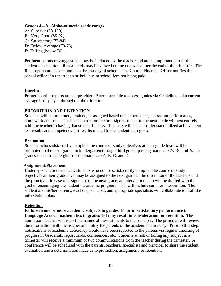#### **Grades 4 – 8 Alpha-numeric grade ranges**

- A: Superior (93-100)
- B: Very Good (85-92)
- C: Satisfactory (77-84)
- D: Below Average (70-76)
- F: Failing (below 70)

Pertinent comments/suggestions may be included by the teacher and are an important part of the student's evaluation. Report cards may be viewed online one week after the end of the trimester. The final report card is sent home on the last day of school. The Church Financial Office notifies the school office if a report is to be held due to school fees not being paid.

#### **Interims**

Printed interim reports are not provided. Parents are able to access grades via Gradelink and a current average is displayed throughout the trimester.

#### **PROMOTION AND RETENTION**

Students will be promoted, retained, or assigned based upon attendance, classroom performance, homework and tests. The decision to promote or assign a student to the next grade will rest entirely with the teacher(s) having that student in class. Teachers will also consider standardized achievement test results and competency test results related to the student's progress.

#### **Promotion**

Students who satisfactorily complete the course of study objectives at their grade level will be promoted to the next grade. In kindergarten through third grade, passing marks are 2s, 3s, and 4s. In grades four through eight, passing marks are A, B, C, and D.

#### **Assignment/Placement**

Under special circumstances, students who do not satisfactorily complete the course of study objectives at their grade level may be assigned to the next grade at the discretion of the teachers and the principal. In case of assignment to the next grade, an intervention plan will be drafted with the goal of encouraging the student's academic progress. This will include summer intervention. The student and his/her parents, teachers, principal, and appropriate specialists will collaborate to draft the intervention plan.

#### **Retention**

**Failure in one or more academic subjects in grades 4-8 or unsatisfactory performance in Language Arts or mathematics in grades 1-3 may result in consideration for retention.** The homeroom teacher will report the names of these students to the principal. The principal will review the information with the teacher and notify the parents of the academic deficiency. Prior to this step, notifications of academic deficiency would have been reported to the parents via regular checking of progress in Gradelink, report cards, conferences, etc. Students at risk of failing any subject in a trimester will receive a minimum of two communications from the teacher during the trimester. A conference will be scheduled with the parents, teachers, specialists and principal to share the student evaluation and a determination made as to promotion, assignment, or retention.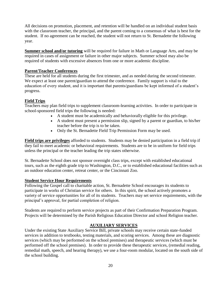All decisions on promotion, placement, and retention will be handled on an individual student basis with the classroom teacher, the principal, and the parent coming to a consensus of what is best for the student. If no agreement can be reached, the student will not return to St. Bernadette the following year.

**Summer school and/or tutoring** will be required for failure in Math or Language Arts, and may be required in cases of assignment or failure in other major subjects. Summer school may also be required of students with excessive absences from one or more academic discipline.

#### **Parent/Teacher Conferences**

These are held for all students during the first trimester, and as needed during the second trimester. We expect at least one parent/guardian to attend the conference. Family support is vital to the education of every student, and it is important that parents/guardians be kept informed of a student's progress.

#### **Field Trips**

Teachers may plan field trips to supplement classroom-learning activities. In order to participate in school-sponsored field trips the following is needed:

- A student must be academically and behaviorally eligible for this privilege.
- A student must present a permission slip, signed by a parent or guardian, to his/her teacher before the trip is to be taken.
- Only the St. Bernadette Field Trip Permission Form may be used.

**Field trips are privileges** afforded to students. Students may be denied participation in a field trip if they fail to meet academic or behavioral requirements. Students are to be in uniform for field trips unless the principal or the teacher leading the trip states otherwise.

St. Bernadette School does not sponsor overnight class trips, except with established educational tours, such as the eighth grade trip to Washington, D.C., or to established educational facilities such as an outdoor education center, retreat center, or the Cincinnati Zoo.

#### **Student Service Hour Requirements**

Following the Gospel call to charitable action, St. Bernadette School encourages its students to participate in works of Christian service for others. In this spirit, the school actively promotes a variety of service opportunities for all of its students. Teachers may set service requirements, with the principal's approval, for partial completion of religion.

Students are required to perform service projects as part of their Confirmation Preparation Program. Projects will be determined by the Parish Religious Education Director and school Religion teacher.

#### **AUXILIARY SERVICES**

Under the existing State Auxiliary Service Bill, private schools may receive certain state-funded services in addition to textbooks, testing materials, and scoring services. Among these are diagnostic services (which may be performed on the school premises) and therapeutic services (which must be performed off the school premises). In order to provide these therapeutic services, (remedial reading, remedial math, speech, and hearing therapy), we use a four-room modular, located on the south side of the school building.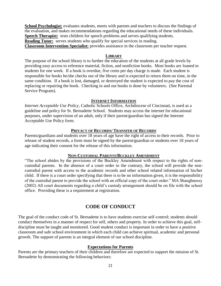**School Psychologist:** evaluates students, meets with parents and teachers to discuss the findings of the evaluation, and makes recommendations regarding the educational needs of these individuals. **Speech Therapist:** tests children for speech problems and serves qualifying students. **Reading Tutor:** serves students who qualify for special services in reading. **Classroom Intervention Specialist:** provides assistance in the classroom per teacher request.

#### **LIBRARY**

The purpose of the school library is to further the education of the students at all grade levels by providing easy access to reference material, fiction, and nonfiction books. Most books are loaned to students for one week. If a book is overdue, five cents per day charge is made. Each student is responsible for books he/she checks out of the library and is expected to return them on time, in the same condition. If a book is lost, damaged, or destroyed the student is expected to pay the cost of replacing or repairing the book. Checking in and out books is done by volunteers. (See Parental Service Program).

#### **INTERNET INFORMATION**

*Internet Acceptable Use Policy*, Catholic Schools Office, Archdiocese of Cincinnati, is used as a guideline and policy for St. Bernadette School. Students may access the internet for educational purposes, under supervision of an adult, only if their parent/guardian has signed the Internet Acceptable Use Policy form.

#### **PRIVACY OF RECORDS/ TRANSFER OF RECORDS**

Parents/guardians and students over 18 years of age have the right of access to their records. Prior to release of student records, a form must be signed by the parent/guardian or students over 18 years of age indicating their consent for the release of this information.

#### **NON-CUSTODIAL PARENTS/BUCKLEY AMENDMENT**

"The school abides by the provisions of the Buckley Amendment with respect to the rights of noncustodial parents. In the absence of a court order to the contrary, the school will provide the noncustodial parent with access to the academic records and other school related information of his/her child. If there is a court order specifying that there is to be no information given, it is the responsibility of the custodial parent to provide the school with an official copy of the court order." MA Shaughnessy (2002) All court documents regarding a child's custody arrangement should be on file with the school office. Providing these is a requirement at registration.

# **CODE OF CONDUCT**

The goal of the conduct code of St. Bernadette is to have students exercise self-control; students should conduct themselves in a manner of respect for self, others and property. In order to achieve this goal, selfdiscipline must be taught and monitored. Good student conduct is important in order to have a positive classroom and safe school environment in which each child can achieve spiritual, academic and personal growth. The support of parents is an integral element of our school discipline.

#### **Expectations for Parents**

Parents are the primary teachers of their children and therefore are expected to support the mission of St. Bernadette by demonstrating the following behaviors: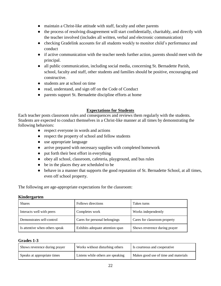- maintain a Christ-like attitude with staff, faculty and other parents
- the process of resolving disagreement will start confidentially, charitably, and directly with the teacher involved (includes all written, verbal and electronic communication)
- checking Gradelink accounts for all students weekly to monitor child's performance and conduct
- if active communication with the teacher needs further action, parents should meet with the principal.
- all public communication, including social media, concerning St. Bernadette Parish, school, faculty and staff, other students and families should be positive, encouraging and constructive.
- students are at school on time
- read, understand, and sign off on the Code of Conduct
- parents support St. Bernadette discipline efforts at home

# **Expectations for Students**

Each teacher posts classroom rules and consequences and reviews them regularly with the students. Students are expected to conduct themselves in a Christ-like manner at all times by demonstrating the following behaviors:

- respect everyone in words and actions
- respect the property of school and fellow students
- use appropriate language
- arrive prepared with necessary supplies with completed homework
- put forth their best effort in everything
- obey all school, classroom, cafeteria, playground, and bus rules
- be in the places they are scheduled to be
- behave in a manner that supports the good reputation of St. Bernadette School, at all times, even off school property.

The following are age-appropriate expectations for the classroom:

#### **Kindergarten**

| <b>Shares</b>                  | Follows directions               | Takes turns                   |
|--------------------------------|----------------------------------|-------------------------------|
| Interacts well with peers      | Completes work                   | Works independently           |
| Demonstrates self-control      | Cares for personal belongings    | Cares for classroom property  |
| Is attentive when others speak | Exhibits adequate attention span | Shows reverence during prayer |

#### **Grades 1-3**

| Shows reverence during prayer | Works without disturbing others   | Is courteous and cooperative         |
|-------------------------------|-----------------------------------|--------------------------------------|
| Speaks at appropriate times   | Listens while others are speaking | Makes good use of time and materials |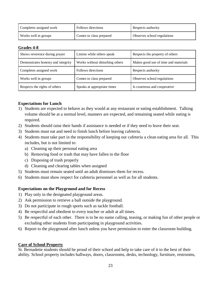| Completes assigned work | Follows directions      | Respects authority          |
|-------------------------|-------------------------|-----------------------------|
| Works well in groups    | Comes to class prepared | Observes school regulations |

#### **Grades 4-8**

| Shows reverence during prayer      | Listens while others speak      | Respects the property of others      |
|------------------------------------|---------------------------------|--------------------------------------|
| Demonstrates honesty and integrity | Works without disturbing others | Makes good use of time and materials |
| Completes assigned work            | Follows directions              | Respects authority                   |
| Works well in groups               | Comes to class prepared         | Observes school regulations          |
| Respects the rights of others      | Speaks at appropriate times     | Is courteous and cooperative         |

#### **Expectations for Lunch**

- 1) Students are expected to behave as they would at any restaurant or eating establishment. Talking volume should be at a normal level, manners are expected, and remaining seated while eating is required.
- 2) Students should raise their hands if assistance is needed or if they need to leave their seat.
- 3) Students must eat and need to finish lunch before leaving cafeteria.
- 4) Students must take part in the responsibility of keeping our cafeteria a clean eating area for all. This includes, but is not limited to:
	- a) Cleaning up their personal eating area
	- b) Removing food or trash that may have fallen to the floor
	- c) Disposing of trash properly
	- d) Cleaning and clearing tables when assigned
- 5) Students must remain seated until an adult dismisses them for recess.
- 6) Students must show respect for cafeteria personnel as well as for all students.

#### **Expectations on the Playground and for Recess**

- 1) Play only in the designated playground areas.
- 2) Ask permission to retrieve a ball outside the playground.
- 3) Do not participate in rough sports such as tackle football.
- 4) Be respectful and obedient to every teacher or adult at all times.
- 5) Be respectful of each other. There is to be no name calling, teasing, or making fun of other people or excluding other students from participating in playground activities.
- 6) Report to the playground after lunch unless you have permission to enter the classroom building.

#### **Care of School Property**

St. Bernadette students should be proud of their school and help to take care of it to the best of their ability. School property includes hallways, doors, classrooms, desks, technology, furniture, restrooms,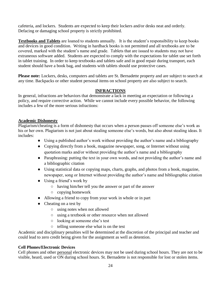cafeteria, and lockers. Students are expected to keep their lockers and/or desks neat and orderly. Defacing or damaging school property is strictly prohibited.

**Textbooks and Tablets** are loaned to students annually. It is the student's responsibility to keep books and devices in good condition. Writing in hardback books is not permitted and all textbooks are to be covered, marked with the student's name and grade. Tablets that are issued to students may not have extraneous software added. Students are expected to comply with the expectations for tablet use set forth in tablet training. In order to keep textbooks and tablets safe and in good repair during transport, each student should have a book bag, and students with tablets should use protective cases.

**Please note:** Lockers, desks, computers and tablets are St. Bernadette property and are subject to search at any time. Backpacks or other student personal items on school property are also subject to search.

# **INFRACTIONS**

In general, infractions are behaviors that demonstrate a lack in meeting an expectation or following a policy, and require corrective action. While we cannot include every possible behavior, the following includes a few of the more serious infractions:

# **Academic Dishonesty**

Plagiarism/cheating is a form of dishonesty that occurs when a person passes off someone else's work as his or her own. Plagiarism is not just about stealing someone else's words, but also about stealing ideas. It includes:

- Using a published author's work without providing the author's name and a bibliography
- Copying directly from a book, magazine newspaper, song, or Internet without using quotation marks and/or without providing the author's name and a bibliography
- Paraphrasing: putting the text in your own words, and not providing the author's name and a bibliographic citation
- Using statistical data or copying maps, charts, graphs, and photos from a book, magazine, newspaper, song or Internet without providing the author's name and bibliographic citation
- Using a friend's work by
	- having him/her tell you the answer or part of the answer
	- copying homework
- Allowing a friend to copy from your work in whole or in part
- Cheating on a test by
	- using notes when not allowed
	- using a textbook or other resource when not allowed
	- looking at someone else's test
	- telling someone else what is on the test

Academic and disciplinary penalties will be determined at the discretion of the principal and teacher and could lead to zero credit being given for the assignment as well as detention.

# **Cell Phones/Electronic Devices**

Cell phones and other personal electronic devices may not be used during school hours. They are not to be visible, heard, used or ON during school hours. St. Bernadette is not responsible for lost or stolen items.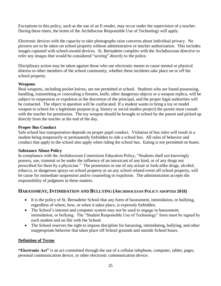Exceptions to this policy, such as the use of an E-reader, may occur under the supervision of a teacher. During these times, the terms of the Archdiocese Responsible Use of Technology will apply.

Electronic devices with the capacity to take photographs raise concerns about individual privacy. No pictures are to be taken on school property without administrative or teacher authorization. This includes images captured with school-owned devices. St. Bernadette complies with the Archdiocesan directive to refer any images that would be considered "sexting" directly to the police.

Disciplinary action may be taken against those who use electronic means to cause mental or physical distress to other members of the school community, whether these incidents take place on or off the school property.

#### **Weapons**

Real weapons, including pocket knives, are not permitted at school. Students who are found possessing, handling, transmitting or concealing a firearm, knife, other dangerous objects or a weapon replica, will be subject to suspension or expulsion at the discretion of the principal, and the proper legal authorities will be contacted. The object in question will be confiscated. If a student wants to bring a toy or model weapon to school for a legitimate purpose (e.g. history or social studies project) the parent must consult with the teacher for permission. The toy weapon should be brought to school by the parent and picked up directly from the teacher at the end of the day.

#### **Proper Bus Conduct**

Safe school bus transportation depends on proper pupil conduct. Violation of bus rules will result in a student being temporarily or permanently forbidden to ride a school bus. All rules of behavior and conduct that apply to the school also apply when riding the school bus. Eating is not permitted on buses.

#### **Substance Abuse Policy**

In compliance with the Archdiocesan Commision Education Policy, "Students shall not knowingly possess, use, transmit or be under the influence of an intoxicant of any kind, or of any drugs not prescribed for them by a physician." The possession or use of any actual or look-alike drugs, alcohol, tobacco, or dangerous sprays on school property or an any school related event off school property, will be cause for immediate suspension and/or counseling or expulsion. The administration accepts the responsibility of judgment in these matters.

#### **HARASSMENT, INTIMIDATION AND BULLYING (ARCHDIOCESAN POLICY ADOPTED 2018)**

- It is the policy of St. Bernadette School that any form of harassment, intimidation, or bullying, regardless of where, how, or when it takes place, is expressly forbidden.
- The School's internet and computer system may not be used to engage in harassment, intimidation, or bullying. The "Student Responsible Use of Technology" form must be signed by each student and on file with the School.
- The School reserves the right to impose discipline for harassing, intimidating, bullying, and other inappropriate behavior that takes place off School grounds and outside School hours.

#### **Definition of Terms**

**"Electronic Act"** is an act committed through the use of a cellular telephone, computer, tablet, pager, personal communication device, or other electronic communication device.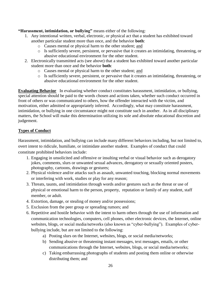**"Harassment, intimidation, or bullying"** means either of the following:

- 1. Any intentional written, verbal, electronic, or physical act that a student has exhibited toward another particular student more than once, and the behavior **both**:
	- o Causes mental or physical harm to the other student; and
	- o Is sufficiently severe, persistent, or pervasive that it creates an intimidating, threatening, or abusive educational environment for the other student.
- 2. Electronically transmitted acts (see above) that a student has exhibited toward another particular student more than once and the behavior **both**:
	- o Causes mental or physical harm to the other student; and
	- o Is sufficiently severe, persistent, or pervasive that it creates an intimidating, threatening, or abusive educational environment for the other student.

**Evaluating Behavior** In evaluating whether conduct constitutes harassment, intimidation, or bullying, special attention should be paid to the words chosen and actions taken, whether such conduct occurred in front of others or was communicated to others, how the offender interacted with the victim, and motivation, either admitted or appropriately inferred. Accordingly, what may constitute harassment, intimidation, or bullying in one circumstance might not constitute such in another. As in all disciplinary matters, the School will make this determination utilizing its sole and absolute educational discretion and judgement.

# **Types of Conduct**

Harassment, intimidation, and bullying can include many different behaviors including, but not limited to, overt intent to ridicule, humiliate, or intimidate another student. Examples of conduct that could constitute prohibited behaviors include:

- 1. Engaging in unsolicited and offensive or insulting verbal or visual behavior such as derogatory jokes, comments, slurs or unwanted sexual advances, derogatory or sexually oriented posters, photography, cartoons, drawings or gestures;
- 2. Physical violence and/or attacks such as assault, unwanted touching, blocking normal movements or interfering with work, studies or play for any reason;
- 3. Threats, taunts, and intimidation through words and/or gestures such as the threat or use of physical or emotional harm to the person, property, reputation or family of any student, staff member, or adult.
- 4. Extortion, damage, or stealing of money and/or possessions;
- 5. Exclusion from the peer group or spreading rumors; and
- 6. Repetitive and hostile behavior with the intent to harm others through the use of information and communication technologies, computers, cell phones, other electronic devices, the Internet, online websites, blogs, or social media/networks (also known as "cyber-bullying"). Examples of cyberbullying include, but are not limited to the following:
	- a) Posting slurs on the Internet, websites, blogs, or social media/networks;
	- b) Sending abusive or threatening instant messages, text messages, emails, or other communications through the Internet, websites, blogs, or social media/networks;
	- c) Taking embarrassing photographs of students and posting them online or otherwise distributing them; and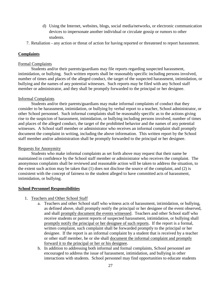- d) Using the Internet, websites, blogs, social media/networks, or electronic communication devices to impersonate another individual or circulate gossip or rumors to other students.
- 7. Retaliation any action or threat of action for having reported or threatened to report harassment.

#### **Complaints**

#### Formal Complaints

Students and/or their parents/guardians may file reports regarding suspected harassment, intimidation, or bullying. Such written reports shall be reasonably specific including persons involved, number of times and places of the alleged conduct, the target of the suspected harassment, intimidation, or bullying and the names of any potential witnesses. Such reports may be filed with any School staff member or administrator, and they shall be promptly forwarded to the principal or her designee.

#### Informal Complaints

Students and/or their parents/guardians may make informal complaints of conduct that they consider to be harassment, intimidation, or bullying by verbal report to a teacher, School administrator, or other School personnel. Such informal complaints shall be reasonably specific as to the actions giving rise to the suspicion of harassment, intimidation, or bullying including persons involved, number of times and places of the alleged conduct, the target of the prohibited behavior and the names of any potential witnesses. A School staff member or administrator who receives an informal complaint shall promptly document the complaint in writing, including the above information. This written report by the School staff member and/or administration shall be promptly forwarded to the principal or her designee.

#### Requests for Anonymity

Students who make informal complaints as set forth above may request that their name be maintained in confidence by the School staff member or administrator who receives the complaint. The anonymous complaints shall be reviewed and reasonable action will be taken to address the situation, to the extent such action may be taken that (1) does not disclose the source of the complaint, and (2) is consistent with the concept of fairness to the student alleged to have committed acts of harassment, intimidation, or bullying.

#### **School Personnel Responsibilities**

- 1. Teachers and Other School Staff
	- a. Teachers and other School staff who witness acts of harassment, intimidation, or bullying, as defined above, shall promptly notify the principal or her designee of the event observed, and shall promptly document the events witnessed. Teachers and other School staff who receive students or parent reports of suspected harassment, intimidation, or bullying shall promptly notify the principal or her designee of such reports. If the report is a formal, written complaint, such complaint shall be forwarded promptly to the principal or her designee. If the report is an informal complaint by a student that is received by a teacher or other staff member, he or she shall document the informal complaint and promptly forward it to the principal or her or his designee.
	- b. In addition to addressing both informal and formal complaints, School personnel are encouraged to address the issue of harassment, intimidation, and bullying in other interactions with students. School personnel may find opportunities to educate students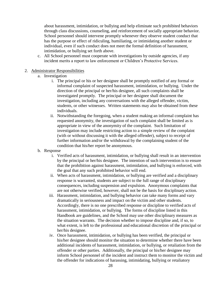about harassment, intimidation, or bullying and help eliminate such prohibited behaviors through class discussions, counseling, and reinforcement of socially appropriate behavior. School personnel should intervene promptly whenever they observe student conduct that has the purpose or effect of ridiculing, humiliating, or intimidating another student or individual, even if such conduct does not meet the formal definition of harassment, intimidation, or bullying set forth above.

c. All School personnel must cooperate with investigations by outside agencies, if any incident merits a report to law enforcement or Children's Protective Services.

#### 2. Administrator Responsibilities

- a. Investigation
	- i. The principal or his or her designee shall be promptly notified of any formal or informal complaint of suspected harassment, intimidation, or bullying. Under the direction of the principal or her/his designee, all such complaints shall be investigated promptly. The principal or her designee shall document the investigation, including any conversations with the alleged offender, victim, students, or other witnesses. Written statements may also be obtained from these individuals.
	- ii. Notwithstanding the foregoing, when a student making an informal complaint has requested anonymity, the investigation of such complaint shall be limited as is appropriate in view of the anonymity of the complaint. Such limitation of investigation may include restricting action to a simple review of the complaint (with or without discussing it with the alleged offender), subject to receipt of further information and/or the withdrawal by the complaining student of the condition that his/her report be anonymous.
- b. Response
	- i. Verified acts of harassment, intimidation, or bullying shall result in an intervention by the principal or her/his designee. The intention of such intervention is to ensure that the prohibition against harassment, intimidation, and bullying is enforced, with the goal that any such prohibited behavior will end.
	- ii. When acts of harassment, intimidation, or bullying are verified and a disciplinary response is warranted, students are subject to the full range of disciplinary consequences, including suspension and expulsion. Anonymous complaints that are not otherwise verified, however, shall not be the basis for disciplinary action.
	- iii. Harassment, intimidation, and bullying behavior can take many forms and vary dramatically in seriousness and impact on the victim and other students. Accordingly, there is no one prescribed response or discipline to verified acts of harassment, intimidation, or bullying. The forms of discipline listed in this Handbook are guidelines, and the School may use other disciplinary measures as the situation warrants. The decision whether to impose discipline and, if so, to what extent, is left to the professional and educational discretion of the principal or her/his designee.
	- iv. Once harassment, intimidation, or bullying has been verified, the principal or his/her designee should monitor the situation to determine whether there have been additional incidents of harassment, intimidation, or bullying, or retaliation from the offender or other parties. Additionally, the principal or his/her designee may inform School personnel of the incident and instruct them to monitor the victim and the offender for indications of harassing, intimidating, bullying or retaliatory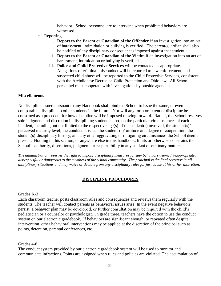behavior. School personnel are to intervene when prohibited behaviors are witnessed.

- c. Reporting
	- i. **Report to the Parent or Guardian of the Offender** if an investigation into an act of harassment, intimidation or bullying is verified. The parent/guardian shall also be notified of any disciplinary consequences imposed against that student.
	- ii. **Report to the Parent or Guardian of the Victim** if an investigation into an act of harassment, intimidation or bullying is verified.
	- iii. **Police and Child Protective Services** will be contacted as appropriate. Allegations of criminal misconduct will be reported to law enforcement, and suspected child abuse will be reported to the Child Protective Services, consistent with the Archdiocese Decree on Child Protection and Ohio law. All School personnel must cooperate with investigations by outside agencies.

#### **Miscellaneous**

No discipline issued pursuant to any Handbook shall bind the School to issue the same, or even comparable, discipline to other students in the future. Nor will any form or extent of discipline be construed as a precedent for how discipline will be imposed moving forward. Rather, the School reserves sole judgment and discretion in disciplining students based on the particular circumstances of each incident, including but not limited to the respective age(s) of the student(s) involved, the student(s)' perceived maturity level, the conduct at issue, the students(s)' attitude and degree of cooperation, the student(s)'disciplinary history, and any other aggravating or mitigating circumstances the School deems present. Nothing in this section, or anywhere else in this handbook, limits or otherwise constrains the School's authority, discretions, judgment, or responsibility in any student disciplinary matters.

*The administration reserves the right to impose disciplinary measures for any behaviors deemed inappropriate, disrespectful or dangerous to the members of the school community. The principal is the final recourse in all disciplinary situations and may waive or deviate from any disciplinary rules for just cause at his or her discretion.*

#### **DISCIPLINE PROCEDURES**

#### Grades K-3

Each classroom teacher posts classroom rules and consequences and reviews them regularly with the students. The teacher will contact parents as behavioral issues arise. In the event negative behaviors persist, a behavior plan may be developed, or further consultation may be required with the child's pediatrician or a counselor or psychologist. In grade three, teachers have the option to use the conduct system on our electronic gradebook. If behaviors are significant enough, or repeated often despite intervention, other behavioral interventions may be applied at the discretion of the principal such as points, detention, parental conferences, etc.

#### Grades 4-8

The conduct system provided by our electronic gradebook system will be used to monitor and communicate infractions. Points are assigned when rules and policies are violated. The accumulation of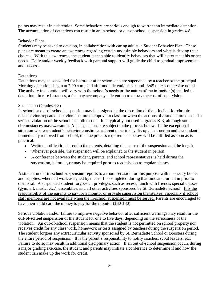points may result in a detention. Some behaviors are serious enough to warrant an immediate detention. The accumulation of detentions can result in an in-school or out-of-school suspension in grades 4-8.

#### Behavior Plans

Students may be asked to develop, in collaboration with caring adults, a Student Behavior Plan. These plans are meant to create an awareness regarding certain undesirable behaviors and what is driving their choices. With this awareness, the student is then able to identify behaviors that will better meet his or her needs. Daily and/or weekly feedback with parental support will guide the child to gradual improvement and success.

# Detentions

Detentions may be scheduled for before or after school and are supervised by a teacher or the principal. Morning detentions begin at 7:00 a.m., and afternoon detentions last until 3:45 unless otherwise noted. The activity in detention will vary with the school's needs or the nature of the infraction(s) that led to detention. In rare instances, a fee may accompany a detention to defray the cost of supervision.

#### Suspension (Grades 4-8)

In-school or out-of-school suspension may be assigned at the discretion of the principal for chronic misbehavior, repeated behaviors that are disruptive to class, or when the actions of a student are deemed a serious violation of the school discipline code. It is typically not used in grades K-3, although some circumstances may warrant it. All suspensions are subject to the process below. In the exceptional situation where a student's behavior constitutes a threat or seriously disrupts instruction and the student is immediately removed from school, the due process requirements below will be fulfilled as soon as is practical.

- Written notification is sent to the parents, detailing the cause of the suspension and the length.
- Whenever possible, the suspension will be explained to the student in person.
- A conference between the student, parents, and school representatives is held during the suspension, before it, or may be required prior to readmission to regular classes.

A student under **in-school suspension** reports to a room set aside for this purpose with necessary books and supplies, where all work assigned by the staff is completed during that time and turned in prior to dismissal. A suspended student forgoes all privileges such as recess, lunch with friends, special classes (gym, art, music, etc.), assemblies, and all other activities sponsored by St. Bernadette School. It is the responsibility of the parents to pay for a monitor or provide supervision themselves, especially if school staff members are not available when the in-school suspension must be served. Parents are encouraged to have their child earn the money to pay for the monitor (\$30-\$80).

Serious violation and/or failure to improve negative behavior after sufficient warnings may result in the **out-of-school suspension** of the student for one to five days, depending on the seriousness of the violation. An out-of-school suspension means that the student is not permitted on school property nor receives credit for any class work, homework or tests assigned by teachers during the suspension period. The student forgoes any extracurricular activity sponsored by St. Bernadette School or Boosters during the entire period of suspension. It is the parent's responsibility to notify coaches, scout leaders, etc. Failure to do so may result in additional disciplinary action. If an out-of-school suspension occurs during a major grading exercise, the student and parents may initiate a conference to determine if and how the student can make up the work for credit.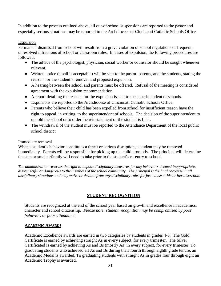In addition to the process outlined above, all out-of-school suspensions are reported to the pastor and especially serious situations may be reported to the Archdiocese of Cincinnati Catholic Schools Office.

#### Expulsion

Permanent dismissal from school will result from a grave violation of school regulations or frequent, unresolved infractions of school or classroom rules. In cases of expulsion, the following procedures are followed:

- The advice of the psychologist, physician, social worker or counselor should be sought whenever relevant.
- Written notice (email is acceptable) will be sent to the pastor, parents, and the students, stating the reasons for the student's removal and proposed expulsion.
- A hearing between the school and parents must be offered. Refusal of the meeting is considered agreement with the expulsion recommendation.
- A report detailing the reasons for the expulsion is sent to the superintendent of schools.
- Expulsions are reported to the Archdiocese of Cincinnati Catholic Schools Office.
- Parents who believe their child has been expelled from school for insufficient reason have the right to appeal, in writing, to the superintendent of schools. The decision of the superintendent to uphold the school or to order the reinstatement of the student is final.
- The withdrawal of the student must be reported to the Attendance Department of the local public school district.

#### Immediate removal

When a student's behavior constitutes a threat or serious disruption, a student may be removed immediately. Parents will be responsible for picking up the child promptly. The principal will determine the steps a student/family will need to take prior to the student's re-entry to school.

*The administration reserves the right to impose disciplinary measures for any behaviors deemed inappropriate, disrespectful or dangerous to the members of the school community. The principal is the final recourse in all disciplinary situations and may waive or deviate from any disciplinary rules for just cause at his or her discretion.*

#### **STUDENT RECOGNITION**

Students are recognized at the end of the school year based on growth and excellence in academics, character and school citizenship. *Please note: student recognition may be compromised by poor behavior, or poor attendance.* 

#### **ACADEMIC AWARDS**

Academic Excellence awards are earned in two categories by students in grades 4-8. The Gold Certificate is earned by achieving straight As in every subject, for every trimester. The Silver Certificated is earned by achieving As and Bs (mostly As) in every subject, for every trimester. To graduating students who achieved all As and Bs during their fourth through eighth grade tenure, an Academic Medal is awarded. To graduating students with straight As in grades four through eight an Academic Trophy is awarded.